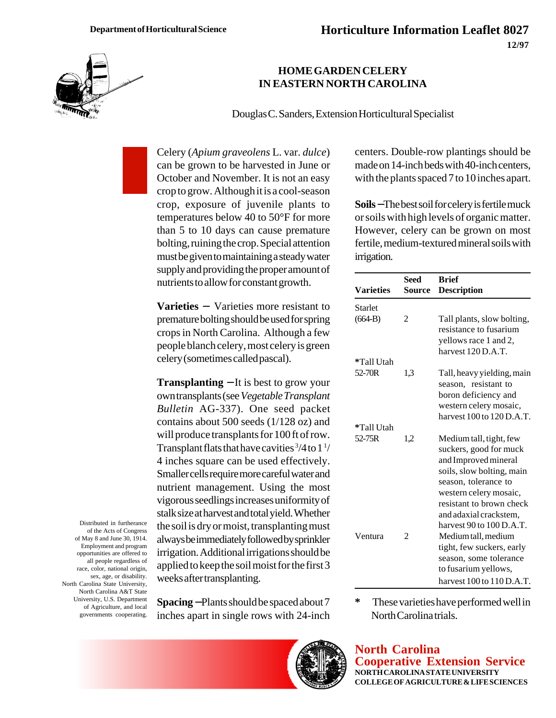

## **HOME GARDEN CELERY IN EASTERN NORTH CAROLINA**

Douglas C. Sanders, Extension Horticultural Specialist

Celery (*Apium graveolens* L. var. *dulce*) can be grown to be harvested in June or October and November. It is not an easy crop to grow. Although it is a cool-season crop, exposure of juvenile plants to temperatures below 40 to 50°F for more than 5 to 10 days can cause premature bolting, ruining the crop. Special attention must be given to maintaining a steady water supply and providing the proper amount of nutrients to allow for constant growth.

**Varieties** − Varieties more resistant to premature bolting should be used for spring crops in North Carolina. Although a few people blanch celery, most celery is green celery (sometimes called pascal).

**Transplanting** − It is best to grow your own transplants (see *Vegetable Transplant Bulletin* AG-337). One seed packet contains about 500 seeds (1/128 oz) and will produce transplants for 100 ft of row. Transplant flats that have cavities  $\frac{3}{4}$  to  $1\frac{1}{4}$ 4 inches square can be used effectively. Smaller cells require more careful water and nutrient management. Using the most vigorous seedlings increases uniformity of stalk size at harvest and total yield. Whether the soil is dry or moist, transplanting must always be immediately followed by sprinkler irrigation. Additional irrigations should be applied to keep the soil moist for the first 3 weeks after transplanting.

**Spacing** − Plants should be spaced about 7 inches apart in single rows with 24-inch centers. Double-row plantings should be made on 14-inch beds with 40-inch centers, with the plants spaced 7 to 10 inches apart.

**Soils** −The best soil for celery is fertile muck or soils with high levels of organic matter. However, celery can be grown on most fertile, medium-textured mineral soils with irrigation.

|                  | Seed   | <b>Brief</b>                  |
|------------------|--------|-------------------------------|
| <b>Varieties</b> | Source | <b>Description</b>            |
| Starlet          |        |                               |
| $(664-B)$        | 2      | Tall plants, slow bolting,    |
|                  |        | resistance to fusarium        |
|                  |        | yellows race 1 and 2,         |
|                  |        | harvest 120 D.A.T.            |
| *Tall Utah       |        |                               |
| 52-70R           | 1.3    | Tall, heavy yielding, main    |
|                  |        | season, resistant to          |
|                  |        | boron deficiency and          |
|                  |        | western celery mosaic,        |
|                  |        | harvest $100$ to $120$ D.A.T. |
| *Tall Utah       |        |                               |
| 52-75R           | 1,2    | Medium tall, tight, few       |
|                  |        | suckers, good for muck        |
|                  |        | and Improved mineral          |
|                  |        | soils, slow bolting, main     |
|                  |        | season, tolerance to          |
|                  |        | western celery mosaic,        |
|                  |        | resistant to brown check      |
|                  |        | and adaxial crackstem.        |
|                  |        | harvest $90$ to $100$ D.A.T.  |
| Ventura          | 2      | Medium tall, medium           |
|                  |        | tight, few suckers, early     |
|                  |        | season, some tolerance        |
|                  |        | to fusarium yellows,          |
|                  |        | harvest $100$ to $110$ D.A.T. |

**\*** These varieties have performed well in North Carolina trials.

**North Carolina Cooperative Extension Service NORTH CAROLINA STATE UNIVERSITY COLLEGE OF AGRICULTURE & LIFE SCIENCES**

Distributed in furtherance of the Acts of Congress of May 8 and June 30, 1914. Employment and program opportunities are offered to all people regardless of race, color, national origin, sex, age, or disability. North Carolina State University, North Carolina A&T State University, U.S. Department of Agriculture, and local governments cooperating.